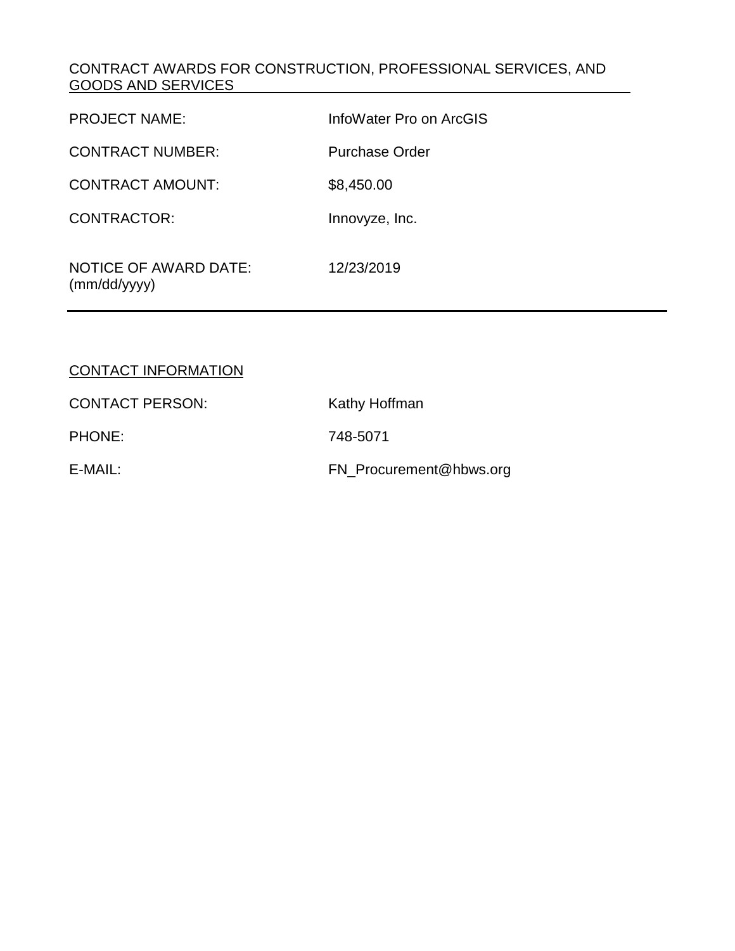### CONTRACT AWARDS FOR CONSTRUCTION, PROFESSIONAL SERVICES, AND GOODS AND SERVICES

| <b>PROJECT NAME:</b>                         | InfoWater Pro on ArcGIS |
|----------------------------------------------|-------------------------|
| <b>CONTRACT NUMBER:</b>                      | <b>Purchase Order</b>   |
| <b>CONTRACT AMOUNT:</b>                      | \$8,450.00              |
| CONTRACTOR:                                  | Innovyze, Inc.          |
| <b>NOTICE OF AWARD DATE:</b><br>(mm/dd/yyyy) | 12/23/2019              |

## CONTACT INFORMATION

| <b>CONTACT PERSON:</b> | Kathy Hoffman           |
|------------------------|-------------------------|
| <b>PHONE:</b>          | 748-5071                |
| E-MAIL:                | FN_Procurement@hbws.org |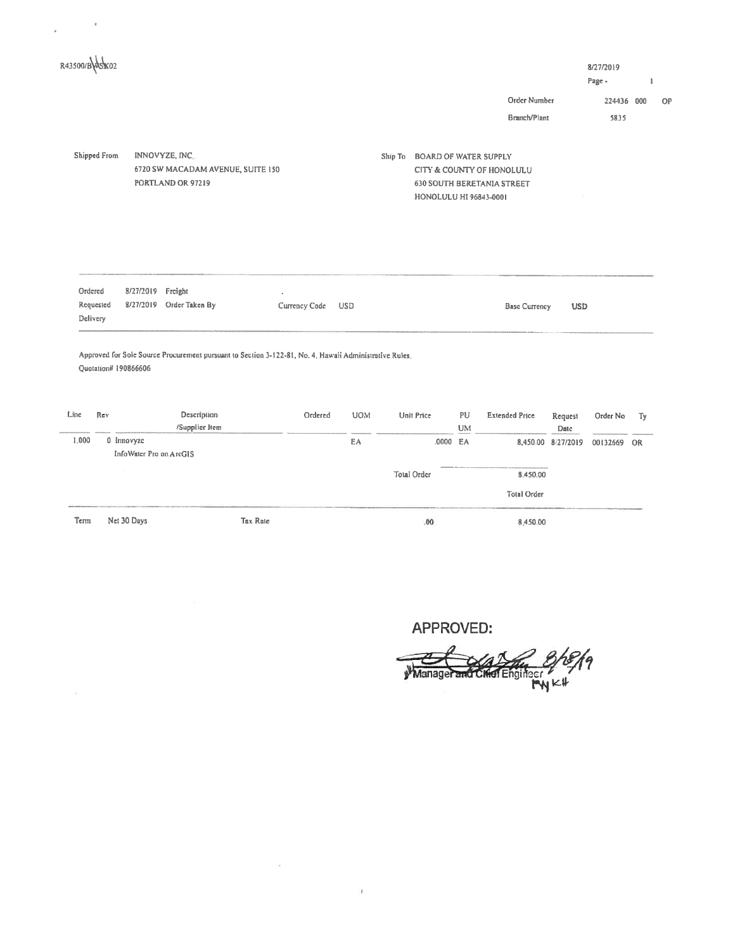| R43500/BASK02                    |                                       |                                                                                                        |               |         |            |         |                                                        |           |                                                                |                            | 8/27/2019<br>Page - |    |
|----------------------------------|---------------------------------------|--------------------------------------------------------------------------------------------------------|---------------|---------|------------|---------|--------------------------------------------------------|-----------|----------------------------------------------------------------|----------------------------|---------------------|----|
|                                  |                                       |                                                                                                        |               |         |            |         |                                                        |           | Order Number                                                   |                            | 224436 000          |    |
|                                  |                                       |                                                                                                        |               |         |            |         |                                                        |           | Branch/Plant                                                   |                            | 5835                |    |
| Shipped From                     |                                       | INNOVYZE, INC.<br>6720 SW MACADAM AVENUE, SUITE 150<br>PORTLAND OR 97219                               |               |         |            | Ship To | <b>BOARD OF WATER SUPPLY</b><br>HONOLULU HI 96843-0001 |           | CITY & COUNTY OF HONOLULU<br><b>630 SOUTH BERETANIA STREET</b> |                            |                     |    |
|                                  |                                       |                                                                                                        |               |         |            |         |                                                        |           |                                                                |                            |                     |    |
| Ordered<br>Requested<br>Delivery | 8/27/2019<br>8/27/2019                | Freight<br>Order Taken By                                                                              | Currency Code |         | <b>USD</b> |         |                                                        |           | <b>Base Currency</b>                                           | <b>USD</b>                 |                     |    |
| Quotation# 190866606             |                                       | Approved for Sole Source Procurement pursuant to Section 3-122-81, No. 4, Hawaii Administrative Rules. |               |         |            |         |                                                        |           |                                                                |                            |                     |    |
| Rev                              |                                       | Description                                                                                            |               | Ordered | <b>UOM</b> |         | Unit Price                                             | PU        | <b>Extended Price</b>                                          | Request                    | Order No            | Тy |
| Line<br>1:000                    | 0 Innovyze<br>InfoWater Pro on ArcGIS | /Supplier Item                                                                                         |               |         | EA         |         | .0000 EA                                               | <b>UM</b> |                                                                | Date<br>8,450.00 8/27/2019 | 00132669 OR         |    |
|                                  |                                       |                                                                                                        |               |         |            |         | Total Order                                            |           | 8,450.00                                                       |                            |                     |    |

 $\zeta(\mathbf{a})$  .

 $\sim 10^{-10}$ 

APPROVED:<br>Manager and Chief Engineer My Kit 19 ے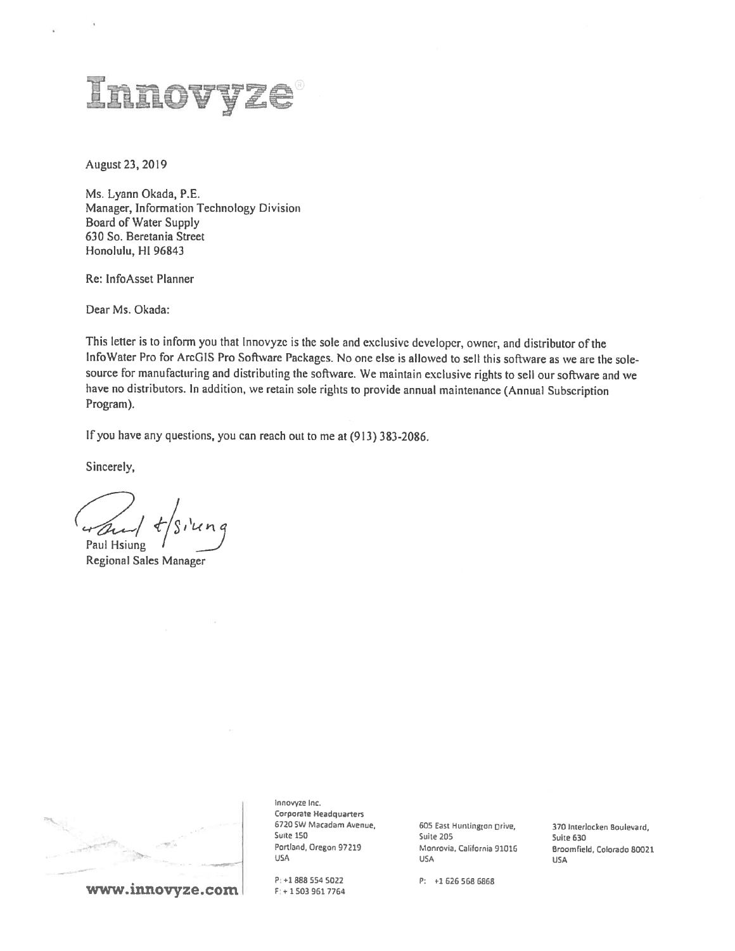# Inovyze

August 23, 2019

Ms. Lyann Okada, P.E. Manager, Information Technology Division Board of Water Supply 630 So. Beretania Street Honolulu, HI 96843

Re: InfoAsset Planner

Dear Ms. Okada:

This letter is to inform you that Innovyze is the sole and exclusive developer, owner, and distributor of the lnfoWater Pro for ArcGIS Pro Software Packages. No one else is allowed to sell this software as we are the solesource for manufacturing and distributing the software. We maintain exclusive rights to sell our software and we have no distributors. In addition, we retain sole rights to provide annual maintenance (Annual Subscription Program).

If you have any questions, you can reach out to me at (913) 383-2086.

Sincerely,

wand Paul Hsiung

Regional Sales Manager



www.innovyze.com

IflflOVVZB Inc. Corporate Headquarters<br>6720 SW Macadam Avenue, 6720 SW Macadam Avenue, 605 East Huntington Drive, 370 Interlocken Boulevard, 300 Suite 30 Suite 150 Suite 205 Suite 630 U5A USA USA

P: +1 <sup>888</sup> <sup>554</sup> <sup>5022</sup> P: 1 <sup>626</sup> <sup>568</sup> <sup>6868</sup>

Portland, Oregon 97219 Monrovia, California 91016 Broomfield, Colorado 80021<br>USA USA USA USA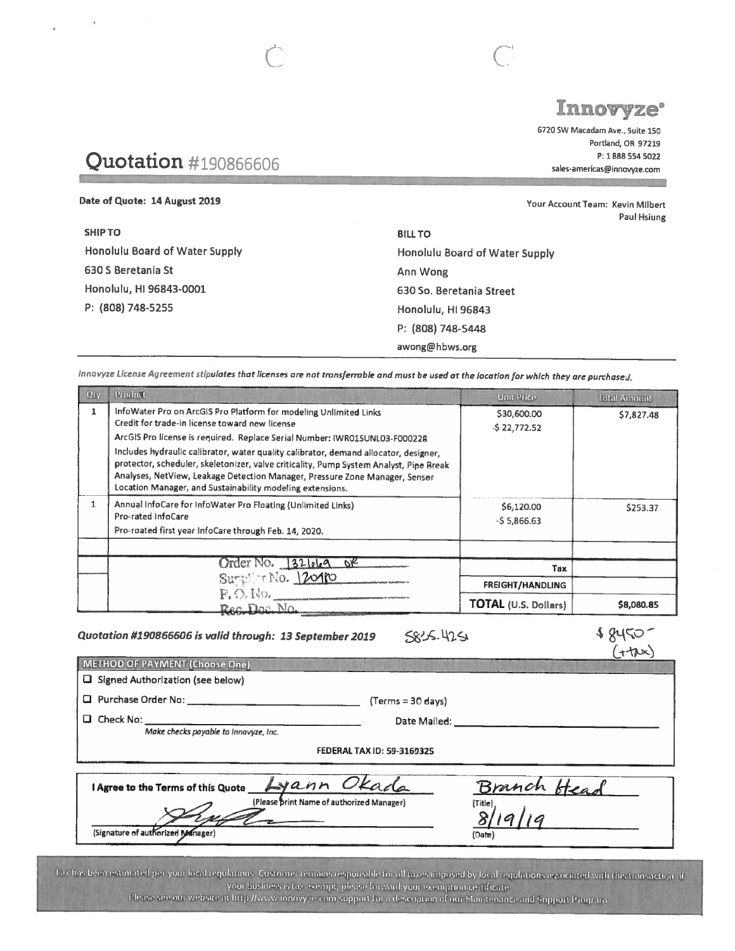# Innovyze<sup>.</sup>

Paul Hsiung

6720 SW Macadam Ave., Suite 150 Portland, OR 97219 P: 1888 554 5022 sales-americas@innovyze.com

# Quotation #190866606

Date of Quote: 14 August 2019 SHIP TO Honolulu Board of Water Supply 630 5 Beretania St Honolulu, HI 96843-0001 P: (808) 748-5255 BILL TO Honolulu Board of Water Supply Ann Wong 630 So. Beretania Street Honolulu, HI 96843 Your Account Team: Kevin Milbert P: (808) 748-5448 awong@ hbws.org

Innovyze License Agreement stipulates that licenses are not transferrable and must be used at the location for which they are purchased.

C C

| $Q_{\rm IV}$ | Product                                                                                                                                                                                                                                                                                                                                                                                                                                                                                                                         | Unit Price                   | <b>Total Amount</b> |
|--------------|---------------------------------------------------------------------------------------------------------------------------------------------------------------------------------------------------------------------------------------------------------------------------------------------------------------------------------------------------------------------------------------------------------------------------------------------------------------------------------------------------------------------------------|------------------------------|---------------------|
|              | InfoWater Pro on ArcGIS Pro Platform for modeling Unlimited Links<br>Credit for trade-in license toward new license<br>ArcGIS Pro license is required. Replace Serial Number: IWR015UNL03-F000228<br>Includes hydraulic calibrator, water quality calibrator, demand allocator, designer,<br>protector, scheduler, skeletonizer, valve criticality, Pump System Analyst, Pipe Break<br>Analyses, NetView, Leakage Detection Manager, Pressure Zone Manager, Sensor<br>Location Manager, and Sustainability modeling extensions. | \$30,600.00<br>$-522,772.52$ | \$7,827.48          |
|              | Annual InfoCare for InfoWater Pro Floating (Unlimited Links)<br>Pro-rated InfoCare<br>Pro-roated first year InfoCare through Feb. 14, 2020.                                                                                                                                                                                                                                                                                                                                                                                     | \$6,120.00<br>$-55,866.63$   | \$253.37            |
|              | Order No. 32 669 OF                                                                                                                                                                                                                                                                                                                                                                                                                                                                                                             | Tax                          |                     |
|              | Supplier No. 12010                                                                                                                                                                                                                                                                                                                                                                                                                                                                                                              | <b>FREIGHT/HANDLING</b>      |                     |
|              | P, O, No.<br>Reg. Doc. No.                                                                                                                                                                                                                                                                                                                                                                                                                                                                                                      | <b>TOTAL (U.S. Dollars)</b>  | \$8,080.85          |

Quotation #190866606 is valid through: 13 September 2019  $\leq \leq/5$ . 425.<br>METHOD OF PAYMENT (Choose One)  $(1+\lambda x)$ 

 $(+\text{tx})$ 

METHOD OF PAYMENT (Choose One)  $\square$  Signed Authorization (see below)

Purchase Order No: (Terms <sup>=</sup> 30 days)

Check No: Date Mailed:

Make checks payable to lnnovyze, Inc.

FEDERAL TAX ID: 59-3169325

I Agree to the Terms of this Quote  $\Box y$  and Head (Please print Name of authorized Manager) (Signature of authorized Manager) (Date)

Tax has been estimated per your local regulations. Customer remains responsible for all taxes imposed by local regulations associated with this transaction. If your business is tax exempt, please forward your exemption certificate. Please see our website at littp //www.innovy.e.com/support for a description of our Maintenance and Support Program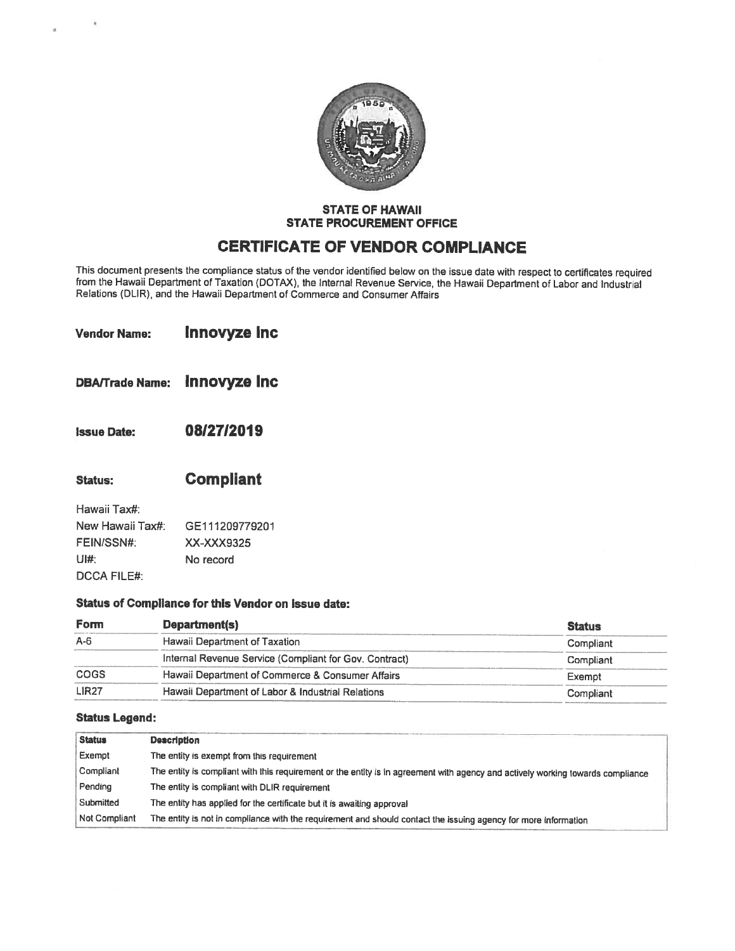

### STATE OF HAWAII STATE PROCUREMENT OFFICE

# CERTIFICATE OF VENDOR COMPLIANCE

This document presents the compliance status of the vendor identified below on the issue date with respect to certificates required<br>from the Hawaii Department of Taxation (DOTAX), the Internal Revenue Service, the Hawaii D Relations (DLIR), and the Hawaii Department of Commerce and Consumer Affairs

| <b>Vendor Name:</b> | <b>Innovyze Inc</b> |  |
|---------------------|---------------------|--|
|                     |                     |  |
|                     |                     |  |

- DBAfftade Name: Innovyze Inc
- Issue Date: 0812712019
- Status: Compliant

| Hawaii Tax#:       |                |
|--------------------|----------------|
| New Hawaii Tax#:   | GE111209779201 |
| FEIN/SSN#:         | XX-XXX9325     |
| UI#:               | No record      |
| <b>DCCA FILE#:</b> |                |

### Status of Compliance for this Vendor on issue date:

| Form         | Department(s)                                          | <b>Status</b> |
|--------------|--------------------------------------------------------|---------------|
| $A - 6$      | Hawaii Department of Taxation                          | Compliant     |
|              | Internal Revenue Service (Compliant for Gov. Contract) | Compliant     |
| COGS         | Hawaii Department of Commerce & Consumer Affairs       | Exempt        |
| <b>LIR27</b> | Hawaii Department of Labor & Industrial Relations      | Compliant     |

### Status Legend:

| <b>Status</b> | <b>Description</b>                                                                                                              |
|---------------|---------------------------------------------------------------------------------------------------------------------------------|
| Exempt        | The entity is exempt from this requirement                                                                                      |
| Compliant     | The entity is compliant with this requirement or the entity is in agreement with agency and actively working towards compliance |
| Pending       | The entity is compliant with DLIR requirement                                                                                   |
| Submitted     | The entity has applied for the certificate but it is awaiting approval                                                          |
| Not Compliant | The entity is not in compliance with the requirement and should contact the issuing agency for more information                 |